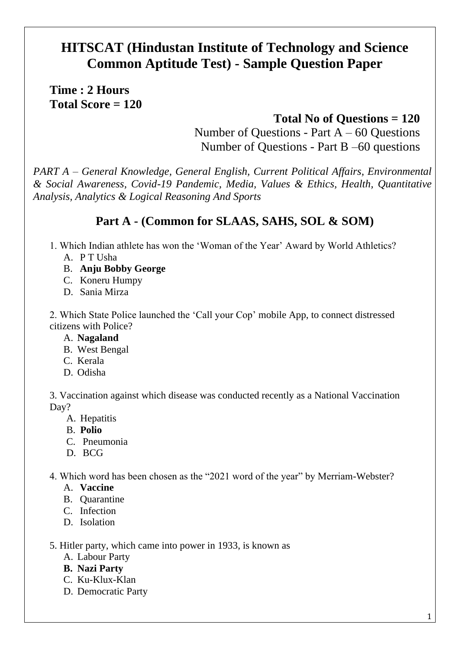# **HITSCAT (Hindustan Institute of Technology and Science Common Aptitude Test) - Sample Question Paper**

**Time : 2 Hours Total Score = 120**

## **Total No of Questions = 120**

Number of Questions - Part  $A - 60$  Questions Number of Questions - Part B –60 questions

*PART A – General Knowledge, General English, Current Political Affairs, Environmental & Social Awareness, Covid-19 Pandemic, Media, Values & Ethics, Health, Quantitative Analysis, Analytics & Logical Reasoning And Sports*

# **Part A - (Common for SLAAS, SAHS, SOL & SOM)**

- 1. Which Indian athlete has won the 'Woman of the Year' Award by World Athletics?
	- A. P T Usha
	- B. **Anju Bobby George**
	- C. Koneru Humpy
	- D. Sania Mirza

2. Which State Police launched the 'Call your Cop' mobile App, to connect distressed citizens with Police?

- A. **Nagaland**
- B. West Bengal
- C. Kerala
- D. Odisha

3. Vaccination against which disease was conducted recently as a National Vaccination Day?

- A. Hepatitis
- B. **Polio**
- C. Pneumonia
- D. BCG

4. Which word has been chosen as the "2021 word of the year" by Merriam-Webster?

- A. **Vaccine**
- B. Quarantine
- C. Infection
- D. Isolation

5. Hitler party, which came into power in 1933, is known as

- A. Labour Party
- **B. Nazi Party**
- C. Ku-Klux-Klan
- D. Democratic Party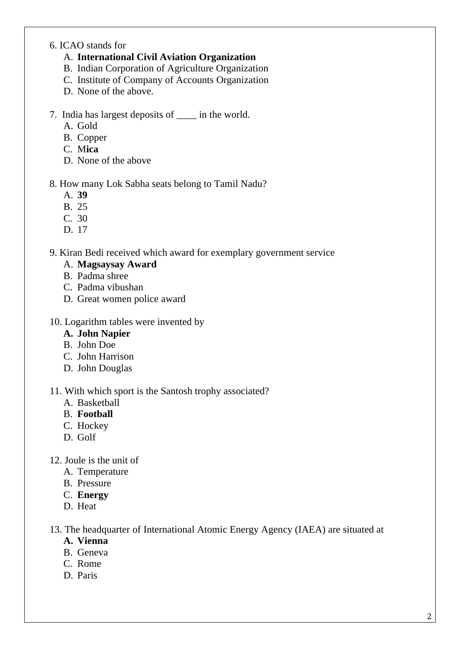#### 6. ICAO stands for

#### A. **International Civil Aviation Organization**

- B. Indian Corporation of Agriculture Organization
- C. Institute of Company of Accounts Organization
- D. None of the above.
- 7. India has largest deposits of \_\_\_\_ in the world.
	- A. Gold
	- B. Copper
	- C. M**ica**
	- D. None of the above

#### 8. How many Lok Sabha seats belong to Tamil Nadu?

- A. **39**
- B. 25
- C. 30
- D. 17

#### 9. Kiran Bedi received which award for exemplary government service

#### A. **Magsaysay Award**

- B. Padma shree
- C. Padma vibushan
- D. Great women police award

#### 10. Logarithm tables were invented by

- **A. John Napier**
- B. John Doe
- C. John Harrison
- D. John Douglas

#### 11. With which sport is the Santosh trophy associated?

- A. Basketball
- B. **Football**
- C. Hockey
- D. Golf
- 12. Joule is the unit of
	- A. Temperature
	- B. Pressure
	- C. **Energy**
	- D. Heat

#### 13. The headquarter of International Atomic Energy Agency (IAEA) are situated at

- **A. Vienna**
- B. Geneva
- C. Rome
- D. Paris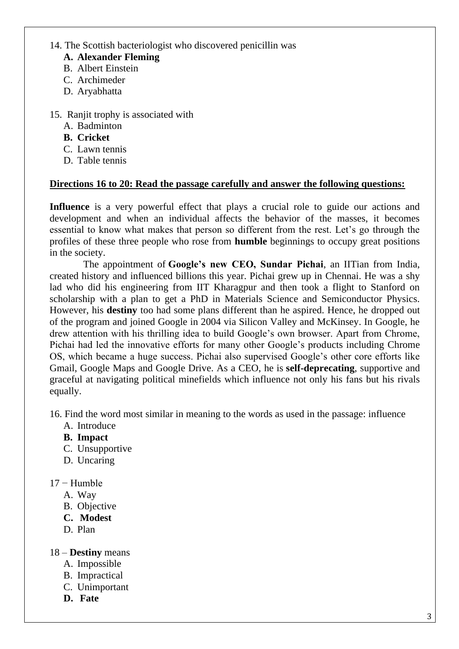#### 14. The Scottish bacteriologist who discovered penicillin was

- **A. Alexander Fleming**
- B. Albert Einstein
- C. Archimeder
- D. Aryabhatta
- 15. Ranjit trophy is associated with
	- A. Badminton
	- **B. Cricket**
	- C. Lawn tennis
	- D. Table tennis

#### **Directions 16 to 20: Read the passage carefully and answer the following questions:**

**Influence** is a very powerful effect that plays a crucial role to guide our actions and development and when an individual affects the behavior of the masses, it becomes essential to know what makes that person so different from the rest. Let's go through the profiles of these three people who rose from **humble** beginnings to occupy great positions in the society.

The appointment of **Google's new CEO, Sundar Pichai**, an IITian from India, created history and influenced billions this year. Pichai grew up in Chennai. He was a shy lad who did his engineering from IIT Kharagpur and then took a flight to Stanford on scholarship with a plan to get a PhD in Materials Science and Semiconductor Physics. However, his **destiny** too had some plans different than he aspired. Hence, he dropped out of the program and joined Google in 2004 via Silicon Valley and McKinsey. In Google, he drew attention with his thrilling idea to build Google's own browser. Apart from Chrome, Pichai had led the innovative efforts for many other Google's products including Chrome OS, which became a huge success. Pichai also supervised Google's other core efforts like Gmail, Google Maps and Google Drive. As a CEO, he is **self-deprecating**, supportive and graceful at navigating political minefields which influence not only his fans but his rivals equally.

16. Find the word most similar in meaning to the words as used in the passage: influence

- A. Introduce
- **B. [Impact](javascript:void(0);)**
- C. [Unsupportive](javascript:void(0);)
- D. [Uncaring](javascript:void(0);)
- 17 − Humble
	- A. [Way](javascript:void(0);)
	- B. [Objective](javascript:void(0);)
	- **C. [M](javascript:void(0);)odest**
	- D. [Plan](javascript:void(0);)

#### 18 – **Destiny** means

- A. [Impossible](javascript:void(0);)
- B. [Impractical](javascript:void(0);)
- C. [Unimportant](javascript:void(0);)
- **D. [Fate](javascript:void(0);)**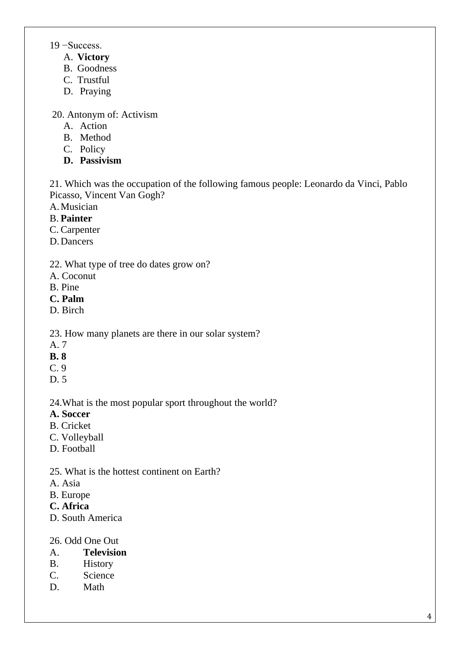19 −Success.

- A. **Victory**
- B. Goodness
- C. Trustful
- D. [Praying](javascript:void(0);)

20. Antonym of: Activism

- A. [Action](javascript:void(0);)
- B. [Method](javascript:void(0);)
- C. [Policy](javascript:void(0);)
- **D. [Passivis](javascript:void(0);)m**

21. Which was the occupation of the following famous people: Leonardo da Vinci, Pablo Picasso, Vincent Van Gogh?

- A.Musician
- B. **Painter**
- C. Carpenter
- D.Dancers
- 22. What type of tree do dates grow on?
- A. Coconut
- B. Pine
- **C. Palm**
- D. Birch

23. How many planets are there in our solar system?

- A. 7
- **B. 8**
- C. 9
- D. 5

24.What is the most popular sport throughout the world?

- **A. Soccer**
- B. Cricket
- C. Volleyball
- D. Football
- 25. What is the hottest continent on Earth?
- A. Asia
- B. Europe
- **C. Africa**
- D. South America
- 26. Odd One Out
- A. **Television**
- B. History
- C. Science
- D. Math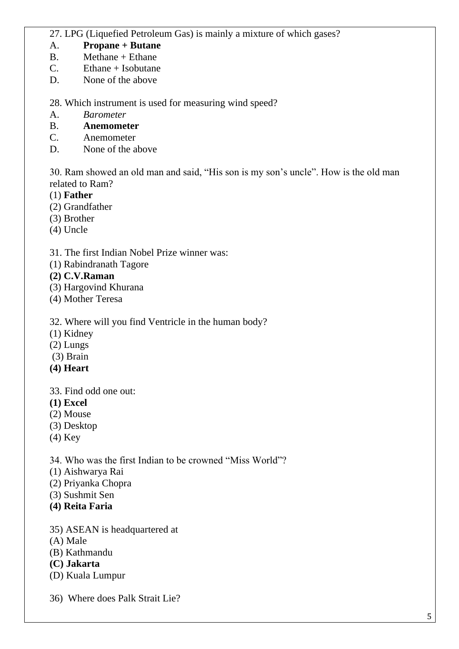### 27. LPG (Liquefied Petroleum Gas) is mainly a mixture of which gases?

### A. **Propane + Butane**

- B. Methane + Ethane
- C. Ethane + Isobutane
- D. None of the above

#### 28. Which instrument is used for measuring wind speed?

A. *Barometer*

#### B. **Anemometer**

- C. Anemometer
- D. None of the above

30. Ram showed an old man and said, "His son is my son's uncle". How is the old man related to Ram?

- (1) **Father**
- (2) Grandfather
- (3) Brother
- (4) Uncle

#### 31. The first Indian Nobel Prize winner was:

(1) Rabindranath Tagore

#### **(2) C.V.Raman**

- (3) Hargovind Khurana
- (4) Mother Teresa

#### 32. Where will you find Ventricle in the human body?

- (1) Kidney
- (2) Lungs
- (3) Brain
- **(4) Heart**
- 33. Find odd one out:
- **(1) Excel**
- (2) Mouse
- (3) Desktop
- (4) Key

34. Who was the first Indian to be crowned "Miss World"?

- (1) Aishwarya Rai
- (2) Priyanka Chopra
- (3) Sushmit Sen
- **(4) Reita Faria**
- 35) ASEAN is headquartered at
- (A) Male
- (B) Kathmandu
- **(C) Jakarta**
- (D) Kuala Lumpur
- 36) Where does Palk Strait Lie?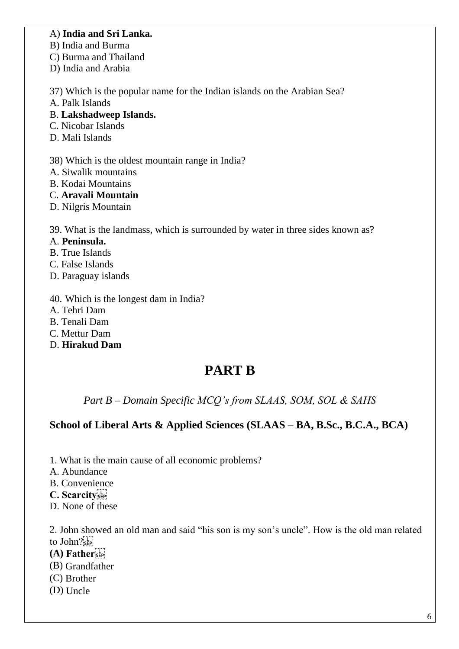#### A) **India and Sri Lanka.**

B) India and Burma

C) Burma and Thailand

D) India and Arabia

37) Which is the popular name for the Indian islands on the Arabian Sea?

A. Palk Islands

B. **Lakshadweep Islands.**

- C. Nicobar Islands
- D. Mali Islands

38) Which is the oldest mountain range in India?

- A. Siwalik mountains
- B. Kodai Mountains
- C. **Aravali Mountain**
- D. Nilgris Mountain

39. What is the landmass, which is surrounded by water in three sides known as?

- A. **Peninsula.**
- B. True Islands
- C. False Islands
- D. Paraguay islands

40. Which is the longest dam in India?

- A. Tehri Dam
- B. Tenali Dam
- C. Mettur Dam
- D. **Hirakud Dam**

# **PART B**

*Part B – Domain Specific MCQ's from SLAAS, SOM, SOL & SAHS*

## **School of Liberal Arts & Applied Sciences (SLAAS – BA, B.Sc., B.C.A., BCA)**

- 1. What is the main cause of all economic problems?
- A. Abundance
- B. Convenience
- **C. Scarcity**
- D. None of these

2. John showed an old man and said "his son is my son's uncle". How is the old man related to John?<sup>[1]</sup>

- **(A) Father**
- (B) Grandfather
- (C) Brother
- (D) Uncle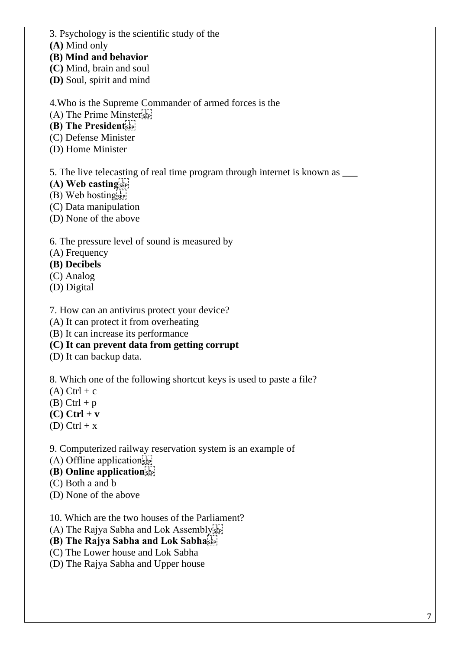3. Psychology is the scientific study of the

**(A)** Mind only

**(B) Mind and behavior**

**(C)** Mind, brain and soul

**(D)** Soul, spirit and mind

4.Who is the Supreme Commander of armed forces is the

(A) The Prime Minster

**(B) The President** 

(C) Defense Minister

(D) Home Minister

5. The live telecasting of real time program through internet is known as \_\_\_

**(A) Web casting** 

(B) Web hostings

(C) Data manipulation

(D) None of the above

6. The pressure level of sound is measured by

(A) Frequency

**(B) Decibels** 

(C) Analog

(D) Digital

7. How can an antivirus protect your device?

(A) It can protect it from overheating

(B) It can increase its performance

**(C) It can prevent data from getting corrupt**

(D) It can backup data.

8. Which one of the following shortcut keys is used to paste a file?

 $(A)$  Ctrl + c

 $(B)$  Ctrl + p

**(C) Ctrl + v** 

(D) Ctrl +  $x$ 

9. Computerized railway reservation system is an example of

 $(A)$  Offline application  $\sum_{s \in P_1}$ 

**(B) Online application** 

(C) Both a and b

(D) None of the above

10. Which are the two houses of the Parliament?

(A) The Rajya Sabha and Lok Assembly

**(B) The Rajya Sabha and Lok Sabha** 

(C) The Lower house and Lok Sabha

(D) The Rajya Sabha and Upper house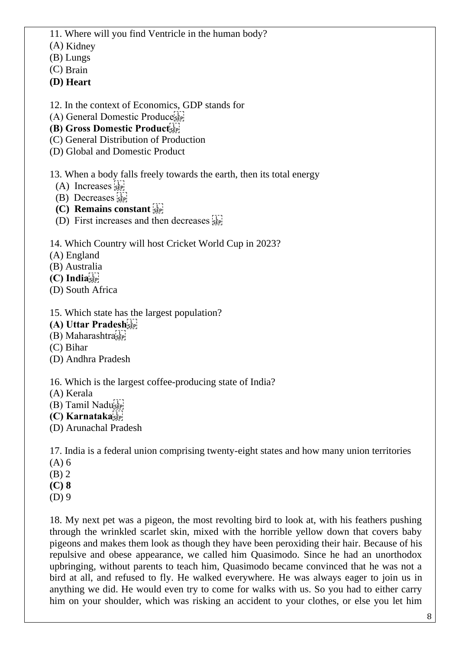- 11. Where will you find Ventricle in the human body?
- (A) Kidney
- (B) Lungs
- (C) Brain
- **(D) Heart**
- 12. In the context of Economics, GDP stands for
- (A) General Domestic Produce
- **(B) Gross Domestic Product**
- (C) General Distribution of Production
- (D) Global and Domestic Product

13. When a body falls freely towards the earth, then its total energy

- $(A)$  Increases  $\frac{1}{25}$
- $(B)$  Decreases  $\frac{1}{15}$
- **(C) Remains constant**
- (D) First increases and then decreases  $\frac{1}{15}$

14. Which Country will host Cricket World Cup in 2023?

- (A) England
- (B) Australia
- **(C) India**
- (D) South Africa
- 15. Which state has the largest population?
- **(A) Uttar Pradesh**
- (B) Maharashtra
- (C) Bihar
- (D) Andhra Pradesh

16. Which is the largest coffee-producing state of India?

- (A) Kerala
- (B) Tamil Nadu
- **(C) Karnataka**
- (D) Arunachal Pradesh

17. India is a federal union comprising twenty-eight states and how many union territories

- (A) 6
- (B) 2
- **(C) 8**
- (D) 9

18. My next pet was a pigeon, the most revolting bird to look at, with his feathers pushing through the wrinkled scarlet skin, mixed with the horrible yellow down that covers baby pigeons and makes them look as though they have been peroxiding their hair. Because of his repulsive and obese appearance, we called him Quasimodo. Since he had an unorthodox upbringing, without parents to teach him, Quasimodo became convinced that he was not a bird at all, and refused to fly. He walked everywhere. He was always eager to join us in anything we did. He would even try to come for walks with us. So you had to either carry him on your shoulder, which was risking an accident to your clothes, or else you let him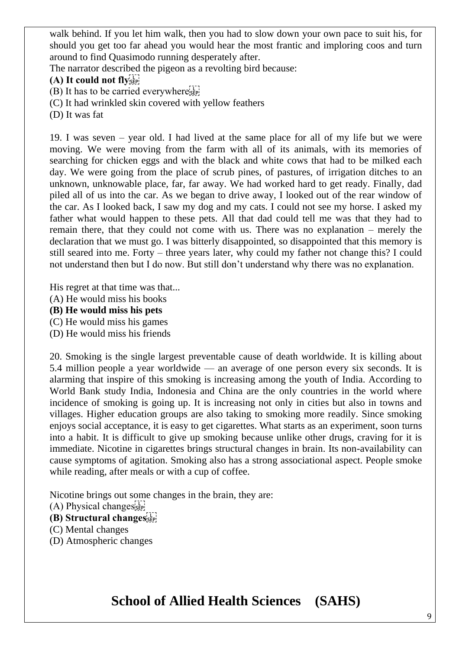walk behind. If you let him walk, then you had to slow down your own pace to suit his, for should you get too far ahead you would hear the most frantic and imploring coos and turn around to find Quasimodo running desperately after.

The narrator described the pigeon as a revolting bird because:

#### **(A) It could not fly**

(B) It has to be carried everywhere<sup>[11]</sup>

- (C) It had wrinkled skin covered with yellow feathers
- (D) It was fat

19. I was seven – year old. I had lived at the same place for all of my life but we were moving. We were moving from the farm with all of its animals, with its memories of searching for chicken eggs and with the black and white cows that had to be milked each day. We were going from the place of scrub pines, of pastures, of irrigation ditches to an unknown, unknowable place, far, far away. We had worked hard to get ready. Finally, dad piled all of us into the car. As we began to drive away, I looked out of the rear window of the car. As I looked back, I saw my dog and my cats. I could not see my horse. I asked my father what would happen to these pets. All that dad could tell me was that they had to remain there, that they could not come with us. There was no explanation – merely the declaration that we must go. I was bitterly disappointed, so disappointed that this memory is still seared into me. Forty – three years later, why could my father not change this? I could not understand then but I do now. But still don't understand why there was no explanation.

His regret at that time was that...

- (A) He would miss his books
- **(B) He would miss his pets**
- (C) He would miss his games
- (D) He would miss his friends

20. Smoking is the single largest preventable cause of death worldwide. It is killing about 5.4 million people a year worldwide — an average of one person every six seconds. It is alarming that inspire of this smoking is increasing among the youth of India. According to World Bank study India, Indonesia and China are the only countries in the world where incidence of smoking is going up. It is increasing not only in cities but also in towns and villages. Higher education groups are also taking to smoking more readily. Since smoking enjoys social acceptance, it is easy to get cigarettes. What starts as an experiment, soon turns into a habit. It is difficult to give up smoking because unlike other drugs, craving for it is immediate. Nicotine in cigarettes brings structural changes in brain. Its non-availability can cause symptoms of agitation. Smoking also has a strong associational aspect. People smoke while reading, after meals or with a cup of coffee.

Nicotine brings out some changes in the brain, they are:

- (A) Physical changes
- **(B) Structural changes**
- (C) Mental changes
- (D) Atmospheric changes

# **School of Allied Health Sciences (SAHS)**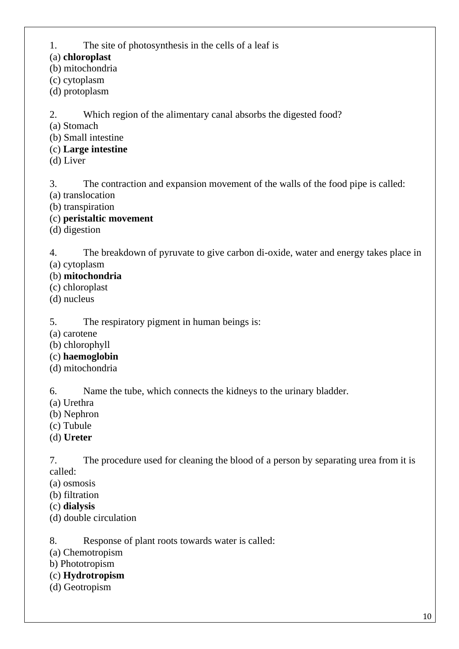1. The site of photosynthesis in the cells of a leaf is

(a) **chloroplast**

(b) mitochondria

(c) cytoplasm

(d) protoplasm

2. Which region of the alimentary canal absorbs the digested food?

(a) Stomach

(b) Small intestine

(c) **Large intestine**

(d) Liver

3. The contraction and expansion movement of the walls of the food pipe is called:

(a) translocation

(b) transpiration

(c) **peristaltic movement**

(d) digestion

4. The breakdown of pyruvate to give carbon di-oxide, water and energy takes place in (a) cytoplasm

### (b) **mitochondria**

- (c) chloroplast
- (d) nucleus

5. The respiratory pigment in human beings is:

(a) carotene

(b) chlorophyll

- (c) **haemoglobin**
- (d) mitochondria

6. Name the tube, which connects the kidneys to the urinary bladder.

- (a) Urethra
- (b) Nephron
- (c) Tubule
- (d) **Ureter**

7. The procedure used for cleaning the blood of a person by separating urea from it is called:

(a) osmosis

- (b) filtration
- (c) **dialysis**
- (d) double circulation

8. Response of plant roots towards water is called:

(a) Chemotropism

b) Phototropism

- (c) **Hydrotropism**
- (d) Geotropism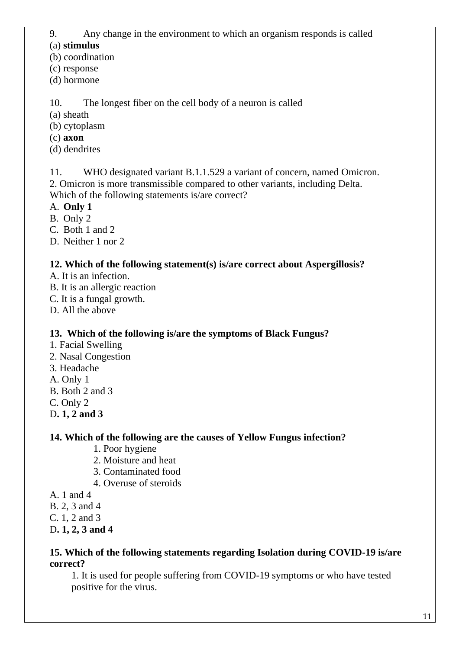9. Any change in the environment to which an organism responds is called

### (a) **stimulus**

(b) coordination

- (c) response
- (d) hormone

10. The longest fiber on the cell body of a neuron is called

- (a) sheath
- (b) cytoplasm
- (c) **axon**
- (d) dendrites

11. WHO designated variant B.1.1.529 a variant of concern, named Omicron. 2. Omicron is more transmissible compared to other variants, including Delta. Which of the following statements is/are correct?

A. **Only 1**

B. Only 2

C. Both 1 and 2

D. Neither 1 nor 2

# **12. Which of the following statement(s) is/are correct about Aspergillosis?**

- A. It is an infection.
- B. It is an allergic reaction
- C. It is a fungal growth.
- D. All the above

# **13. Which of the following is/are the symptoms of Black Fungus?**

- 1. Facial Swelling
- 2. Nasal Congestion
- 3. Headache
- A. Only 1
- B. Both 2 and 3
- C. Only 2
- D**. 1, 2 and 3**

# **14. Which of the following are the causes of Yellow Fungus infection?**

- 1. Poor hygiene
- 2. Moisture and heat
- 3. Contaminated food
- 4. Overuse of steroids
- A. 1 and 4
- B. 2, 3 and 4
- C. 1, 2 and 3
- D**. 1, 2, 3 and 4**

## **15. Which of the following statements regarding Isolation during COVID-19 is/are correct?**

1. It is used for people suffering from COVID-19 symptoms or who have tested positive for the virus.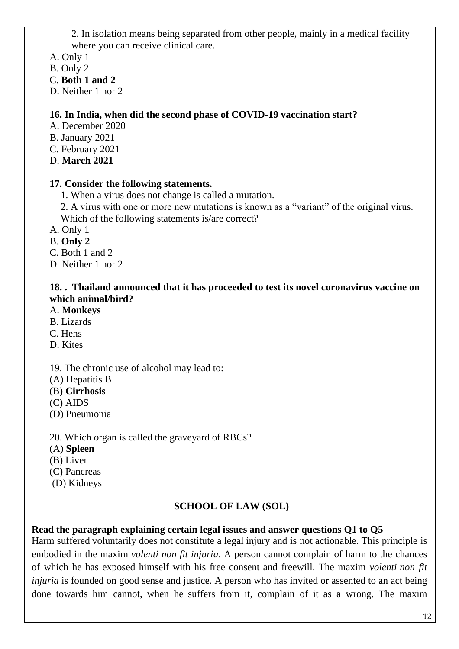2. In isolation means being separated from other people, mainly in a medical facility where you can receive clinical care.

A. Only 1

- B. Only 2
- C. **Both 1 and 2**

D. Neither 1 nor 2

### **16. In India, when did the second phase of COVID-19 vaccination start?**

- A. December 2020
- B. January 2021
- C. February 2021
- D. **March 2021**

#### **17. Consider the following statements.**

- 1. When a virus does not change is called a mutation.
- 2. A virus with one or more new mutations is known as a "variant" of the original virus. Which of the following statements is/are correct?
- A. Only 1
- B. **Only 2**
- C. Both 1 and 2
- D. Neither 1 nor 2

#### **18. . Thailand announced that it has proceeded to test its novel coronavirus vaccine on which animal/bird?**

- A. **Monkeys**
- B. Lizards
- C. Hens
- D. Kites

#### 19. The chronic use of alcohol may lead to:

- (A) Hepatitis B
- (B) **Cirrhosis**
- (C) AIDS
- (D) Pneumonia

20. Which organ is called the graveyard of RBCs?

- (A) **Spleen**
- (B) Liver
- (C) Pancreas
- (D) Kidneys

#### **SCHOOL OF LAW (SOL)**

## **Read the paragraph explaining certain legal issues and answer questions Q1 to Q5**

Harm suffered voluntarily does not constitute a legal injury and is not actionable. This principle is embodied in the maxim *volenti non fit injuria*. A person cannot complain of harm to the chances of which he has exposed himself with his free consent and freewill. The maxim *volenti non fit injuria* is founded on good sense and justice. A person who has invited or assented to an act being done towards him cannot, when he suffers from it, complain of it as a wrong. The maxim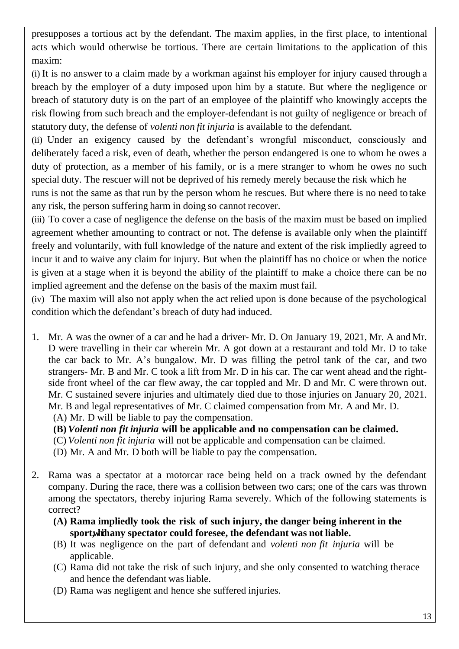presupposes a tortious act by the defendant. The maxim applies, in the first place, to intentional acts which would otherwise be tortious. There are certain limitations to the application of this maxim:

(i) It is no answer to a claim made by a workman against his employer for injury caused through a breach by the employer of a duty imposed upon him by a statute. But where the negligence or breach of statutory duty is on the part of an employee of the plaintiff who knowingly accepts the risk flowing from such breach and the employer-defendant is not guilty of negligence or breach of statutory duty, the defense of *volenti non fit injuria* is available to the defendant.

(ii) Under an exigency caused by the defendant's wrongful misconduct, consciously and deliberately faced a risk, even of death, whether the person endangered is one to whom he owes a duty of protection, as a member of his family, or is a mere stranger to whom he owes no such special duty. The rescuer will not be deprived of his remedy merely because the risk which he runs is not the same as that run by the person whom he rescues. But where there is no need to take any risk, the person suffering harm in doing so cannot recover.

(iii) To cover a case of negligence the defense on the basis of the maxim must be based on implied agreement whether amounting to contract or not. The defense is available only when the plaintiff freely and voluntarily, with full knowledge of the nature and extent of the risk impliedly agreed to incur it and to waive any claim for injury. But when the plaintiff has no choice or when the notice is given at a stage when it is beyond the ability of the plaintiff to make a choice there can be no implied agreement and the defense on the basis of the maxim must fail.

(iv) The maxim will also not apply when the act relied upon is done because of the psychological condition which the defendant's breach of duty had induced.

- 1. Mr. A was the owner of a car and he had a driver- Mr. D. On January 19, 2021, Mr. A andMr. D were travelling in their car wherein Mr. A got down at a restaurant and told Mr. D to take the car back to Mr. A's bungalow. Mr. D was filling the petrol tank of the car, and two strangers- Mr. B and Mr. C took a lift from Mr. D in his car. The car went ahead and the rightside front wheel of the car flew away, the car toppled and Mr. D and Mr. C were thrown out. Mr. C sustained severe injuries and ultimately died due to those injuries on January 20, 2021. Mr. B and legal representatives of Mr. C claimed compensation from Mr. A and Mr. D.
	- (A) Mr. D will be liable to pay the compensation.
	- **(B)** *Volenti non fit injuria* **will be applicable and no compensation can be claimed.**
	- (C) *Volenti non fit injuria* will not be applicable and compensation can be claimed.
	- (D) Mr. A and Mr. D both will be liable to pay the compensation.
- 2. Rama was a spectator at a motorcar race being held on a track owned by the defendant company. During the race, there was a collision between two cars; one of the cars was thrown among the spectators, thereby injuring Rama severely. Which of the following statements is correct?
	- **(A) Rama impliedly took the risk of such injury, the danger being inherent in the sport, whichany spectator could foresee, the defendant was not liable.**
	- (B) It was negligence on the part of defendant and *volenti non fit injuria* will be applicable.
	- (C) Rama did not take the risk of such injury, and she only consented to watching therace and hence the defendant was liable.
	- (D) Rama was negligent and hence she suffered injuries.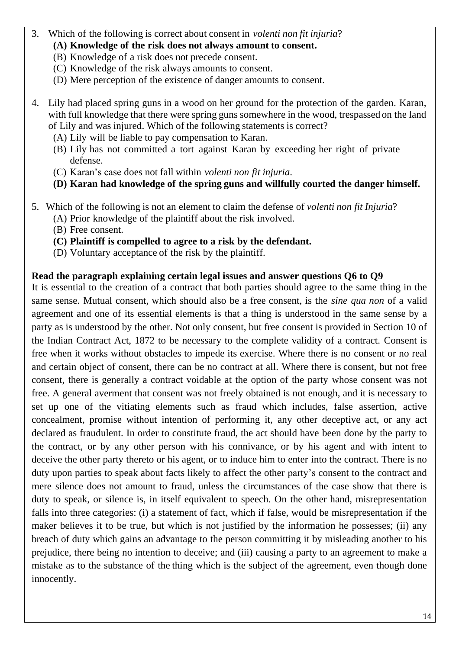#### 3. Which of the following is correct about consent in *volenti non fit injuria*?

- **(A) Knowledge of the risk does not always amount to consent.**
- (B) Knowledge of a risk does not precede consent.
- (C) Knowledge of the risk always amounts to consent.
- (D) Mere perception of the existence of danger amounts to consent.
- 4. Lily had placed spring guns in a wood on her ground for the protection of the garden. Karan, with full knowledge that there were spring guns somewhere in the wood, trespassed on the land of Lily and was injured. Which of the following statements is correct?
	- (A) Lily will be liable to pay compensation to Karan.
	- (B) Lily has not committed a tort against Karan by exceeding her right of private defense.
	- (C) Karan's case does not fall within *volenti non fit injuria*.
	- **(D) Karan had knowledge of the spring guns and willfully courted the danger himself.**
- 5. Which of the following is not an element to claim the defense of *volenti non fit Injuria*?
	- (A) Prior knowledge of the plaintiff about the risk involved.
	- (B) Free consent.
	- **(C) Plaintiff is compelled to agree to a risk by the defendant.**
	- (D) Voluntary acceptance of the risk by the plaintiff.

#### **Read the paragraph explaining certain legal issues and answer questions Q6 to Q9**

It is essential to the creation of a contract that both parties should agree to the same thing in the same sense. Mutual consent, which should also be a free consent, is the *sine qua non* of a valid agreement and one of its essential elements is that a thing is understood in the same sense by a party as is understood by the other. Not only consent, but free consent is provided in Section 10 of the Indian Contract Act, 1872 to be necessary to the complete validity of a contract. Consent is free when it works without obstacles to impede its exercise. Where there is no consent or no real and certain object of consent, there can be no contract at all. Where there is consent, but not free consent, there is generally a contract voidable at the option of the party whose consent was not free. A general averment that consent was not freely obtained is not enough, and it is necessary to set up one of the vitiating elements such as fraud which includes, false assertion, active concealment, promise without intention of performing it, any other deceptive act, or any act declared as fraudulent. In order to constitute fraud, the act should have been done by the party to the contract, or by any other person with his connivance, or by his agent and with intent to deceive the other party thereto or his agent, or to induce him to enter into the contract. There is no duty upon parties to speak about facts likely to affect the other party's consent to the contract and mere silence does not amount to fraud, unless the circumstances of the case show that there is duty to speak, or silence is, in itself equivalent to speech. On the other hand, misrepresentation falls into three categories: (i) a statement of fact, which if false, would be misrepresentation if the maker believes it to be true, but which is not justified by the information he possesses; (ii) any breach of duty which gains an advantage to the person committing it by misleading another to his prejudice, there being no intention to deceive; and (iii) causing a party to an agreement to make a mistake as to the substance of the thing which is the subject of the agreement, even though done innocently.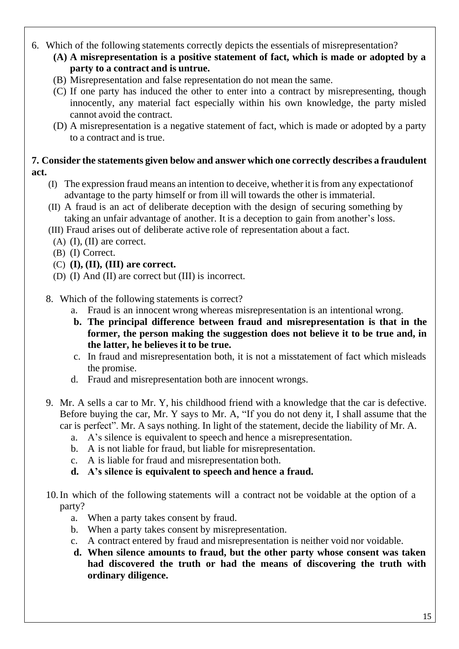- 6. Which of the following statements correctly depicts the essentials of misrepresentation?
	- **(A) A misrepresentation is a positive statement of fact, which is made or adopted by a party to a contract and is untrue.**
	- (B) Misrepresentation and false representation do not mean the same.
	- (C) If one party has induced the other to enter into a contract by misrepresenting, though innocently, any material fact especially within his own knowledge, the party misled cannot avoid the contract.
	- (D) A misrepresentation is a negative statement of fact, which is made or adopted by a party to a contract and is true.

#### **7. Consider the statements given below and answer which one correctly describes a fraudulent act.**

- (I) The expression fraud means an intention to deceive, whether it isfrom any expectationof advantage to the party himself or from ill will towards the other is immaterial.
- (II) A fraud is an act of deliberate deception with the design of securing something by taking an unfair advantage of another. It is a deception to gain from another's loss.
- (III) Fraud arises out of deliberate active role of representation about a fact.
	- (A) (I), (II) are correct.
	- (B) (I) Correct.
	- (C) **(I), (II), (III) are correct.**
- (D) (I) And (II) are correct but (III) is incorrect.
- 8. Which of the following statements is correct?
	- a. Fraud is an innocent wrong whereas misrepresentation is an intentional wrong.
	- **b. The principal difference between fraud and misrepresentation is that in the former, the person making the suggestion does not believe it to be true and, in the latter, he believes it to be true.**
	- c. In fraud and misrepresentation both, it is not a misstatement of fact which misleads the promise.
	- d. Fraud and misrepresentation both are innocent wrongs.
- 9. Mr. A sells a car to Mr. Y, his childhood friend with a knowledge that the car is defective. Before buying the car, Mr. Y says to Mr. A, "If you do not deny it, I shall assume that the car is perfect". Mr. A says nothing. In light of the statement, decide the liability of Mr. A.
	- a. A's silence is equivalent to speech and hence a misrepresentation.
	- b. A is not liable for fraud, but liable for misrepresentation.
	- c. A is liable for fraud and misrepresentation both.
	- **d. A's silence is equivalent to speech and hence a fraud.**
- 10.In which of the following statements will a contract not be voidable at the option of a party?
	- a. When a party takes consent by fraud.
	- b. When a party takes consent by misrepresentation.
	- c. A contract entered by fraud and misrepresentation is neither void nor voidable.
	- **d. When silence amounts to fraud, but the other party whose consent was taken had discovered the truth or had the means of discovering the truth with ordinary diligence.**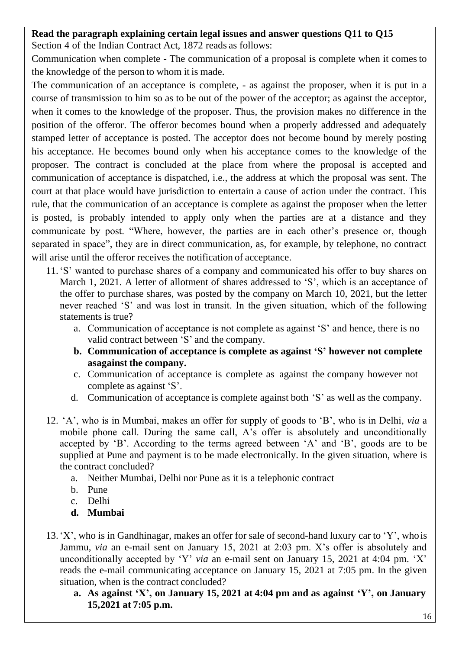#### **Read the paragraph explaining certain legal issues and answer questions Q11 to Q15**

Section 4 of the Indian Contract Act, 1872 reads as follows:

Communication when complete - The communication of a proposal is complete when it comes to the knowledge of the person to whom it is made.

The communication of an acceptance is complete, - as against the proposer, when it is put in a course of transmission to him so as to be out of the power of the acceptor; as against the acceptor, when it comes to the knowledge of the proposer. Thus, the provision makes no difference in the position of the offeror. The offeror becomes bound when a properly addressed and adequately stamped letter of acceptance is posted. The acceptor does not become bound by merely posting his acceptance. He becomes bound only when his acceptance comes to the knowledge of the proposer. The contract is concluded at the place from where the proposal is accepted and communication of acceptance is dispatched, i.e., the address at which the proposal was sent. The court at that place would have jurisdiction to entertain a cause of action under the contract. This rule, that the communication of an acceptance is complete as against the proposer when the letter is posted, is probably intended to apply only when the parties are at a distance and they communicate by post. "Where, however, the parties are in each other's presence or, though separated in space", they are in direct communication, as, for example, by telephone, no contract will arise until the offeror receives the notification of acceptance.

- 11.'S' wanted to purchase shares of a company and communicated his offer to buy shares on March 1, 2021. A letter of allotment of shares addressed to 'S', which is an acceptance of the offer to purchase shares, was posted by the company on March 10, 2021, but the letter never reached 'S' and was lost in transit. In the given situation, which of the following statements is true?
	- a. Communication of acceptance is not complete as against 'S' and hence, there is no valid contract between 'S' and the company.
	- **b. Communication of acceptance is complete as against 'S' however not complete asagainst the company.**
	- c. Communication of acceptance is complete as against the company however not complete as against 'S'.
	- d. Communication of acceptance is complete against both 'S' as well as the company.
- 12. 'A', who is in Mumbai, makes an offer for supply of goods to 'B', who is in Delhi, *via* a mobile phone call. During the same call, A's offer is absolutely and unconditionally accepted by 'B'. According to the terms agreed between 'A' and 'B', goods are to be supplied at Pune and payment is to be made electronically. In the given situation, where is the contract concluded?
	- a. Neither Mumbai, Delhi nor Pune as it is a telephonic contract
	- b. Pune
	- c. Delhi
	- **d. Mumbai**
- 13.'X', who is in Gandhinagar, makes an offer for sale of second-hand luxury car to 'Y', who is Jammu, *via* an e-mail sent on January 15, 2021 at 2:03 pm. X's offer is absolutely and unconditionally accepted by 'Y' *via* an e-mail sent on January 15, 2021 at 4:04 pm. 'X' reads the e-mail communicating acceptance on January 15, 2021 at 7:05 pm. In the given situation, when is the contract concluded?
	- **a. As against 'X', on January 15, 2021 at 4:04 pm and as against 'Y', on January 15,2021 at 7:05 p.m.**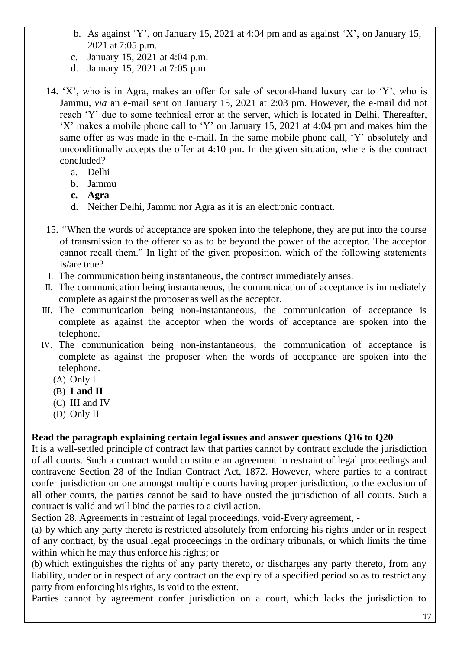- b. As against 'Y', on January 15, 2021 at 4:04 pm and as against 'X', on January 15, 2021 at 7:05 p.m.
- c. January 15, 2021 at 4:04 p.m.
- d. January 15, 2021 at 7:05 p.m.
- 14. 'X', who is in Agra, makes an offer for sale of second-hand luxury car to 'Y', who is Jammu, *via* an e-mail sent on January 15, 2021 at 2:03 pm. However, the e-mail did not reach 'Y' due to some technical error at the server, which is located in Delhi. Thereafter, 'X' makes a mobile phone call to 'Y' on January 15, 2021 at 4:04 pm and makes him the same offer as was made in the e-mail. In the same mobile phone call, 'Y' absolutely and unconditionally accepts the offer at 4:10 pm. In the given situation, where is the contract concluded?
	- a. Delhi
	- b. Jammu
	- **c. Agra**
	- d. Neither Delhi, Jammu nor Agra as it is an electronic contract.
- 15. "When the words of acceptance are spoken into the telephone, they are put into the course of transmission to the offerer so as to be beyond the power of the acceptor. The acceptor cannot recall them." In light of the given proposition, which of the following statements is/are true?
- I. The communication being instantaneous, the contract immediately arises.
- II. The communication being instantaneous, the communication of acceptance is immediately complete as against the proposer as well as the acceptor.
- III. The communication being non-instantaneous, the communication of acceptance is complete as against the acceptor when the words of acceptance are spoken into the telephone.
- IV. The communication being non-instantaneous, the communication of acceptance is complete as against the proposer when the words of acceptance are spoken into the telephone.
	- (A) Only I
	- (B) **I and II**
	- (C) III and IV
	- (D) Only II

## **Read the paragraph explaining certain legal issues and answer questions Q16 to Q20**

It is a well-settled principle of contract law that parties cannot by contract exclude the jurisdiction of all courts. Such a contract would constitute an agreement in restraint of legal proceedings and contravene Section 28 of the Indian Contract Act, 1872. However, where parties to a contract confer jurisdiction on one amongst multiple courts having proper jurisdiction, to the exclusion of all other courts, the parties cannot be said to have ousted the jurisdiction of all courts. Such a contract is valid and will bind the parties to a civil action.

Section 28. Agreements in restraint of legal proceedings, void-Every agreement, -

(a) by which any party thereto is restricted absolutely from enforcing his rights under or in respect of any contract, by the usual legal proceedings in the ordinary tribunals, or which limits the time within which he may thus enforce his rights; or

(b) which extinguishes the rights of any party thereto, or discharges any party thereto, from any liability, under or in respect of any contract on the expiry of a specified period so as to restrict any party from enforcing his rights, is void to the extent.

Parties cannot by agreement confer jurisdiction on a court, which lacks the jurisdiction to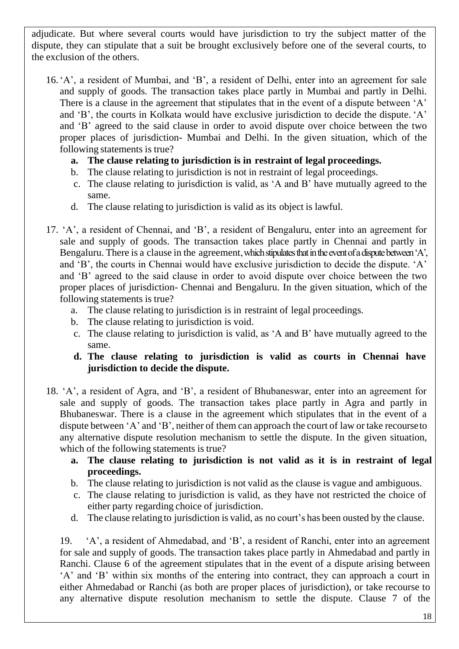adjudicate. But where several courts would have jurisdiction to try the subject matter of the dispute, they can stipulate that a suit be brought exclusively before one of the several courts, to the exclusion of the others.

- 16.'A', a resident of Mumbai, and 'B', a resident of Delhi, enter into an agreement for sale and supply of goods. The transaction takes place partly in Mumbai and partly in Delhi. There is a clause in the agreement that stipulates that in the event of a dispute between 'A' and 'B', the courts in Kolkata would have exclusive jurisdiction to decide the dispute. 'A' and 'B' agreed to the said clause in order to avoid dispute over choice between the two proper places of jurisdiction- Mumbai and Delhi. In the given situation, which of the following statements is true?
	- **a. The clause relating to jurisdiction is in restraint of legal proceedings.**
	- b. The clause relating to jurisdiction is not in restraint of legal proceedings.
	- c. The clause relating to jurisdiction is valid, as 'A and B' have mutually agreed to the same.
	- d. The clause relating to jurisdiction is valid as its object is lawful.
- 17. 'A', a resident of Chennai, and 'B', a resident of Bengaluru, enter into an agreement for sale and supply of goods. The transaction takes place partly in Chennai and partly in Bengaluru. There is a clause in the agreement, which stipulates that in the event of a dispute between 'A', and 'B', the courts in Chennai would have exclusive jurisdiction to decide the dispute. 'A' and 'B' agreed to the said clause in order to avoid dispute over choice between the two proper places of jurisdiction- Chennai and Bengaluru. In the given situation, which of the following statements is true?
	- a. The clause relating to jurisdiction is in restraint of legal proceedings.
	- b. The clause relating to jurisdiction is void.
	- c. The clause relating to jurisdiction is valid, as 'A and B' have mutually agreed to the same.
	- **d. The clause relating to jurisdiction is valid as courts in Chennai have jurisdiction to decide the dispute.**
- 18. 'A', a resident of Agra, and 'B', a resident of Bhubaneswar, enter into an agreement for sale and supply of goods. The transaction takes place partly in Agra and partly in Bhubaneswar. There is a clause in the agreement which stipulates that in the event of a dispute between 'A' and 'B', neither of them can approach the court of law or take recourseto any alternative dispute resolution mechanism to settle the dispute. In the given situation, which of the following statements is true?
	- **a. The clause relating to jurisdiction is not valid as it is in restraint of legal proceedings.**
	- b. The clause relating to jurisdiction is not valid as the clause is vague and ambiguous.
	- c. The clause relating to jurisdiction is valid, as they have not restricted the choice of either party regarding choice of jurisdiction.
	- d. The clause relating to jurisdiction is valid, as no court's has been ousted by the clause.

19. 'A', a resident of Ahmedabad, and 'B', a resident of Ranchi, enter into an agreement for sale and supply of goods. The transaction takes place partly in Ahmedabad and partly in Ranchi. Clause 6 of the agreement stipulates that in the event of a dispute arising between 'A' and 'B' within six months of the entering into contract, they can approach a court in either Ahmedabad or Ranchi (as both are proper places of jurisdiction), or take recourse to any alternative dispute resolution mechanism to settle the dispute. Clause 7 of the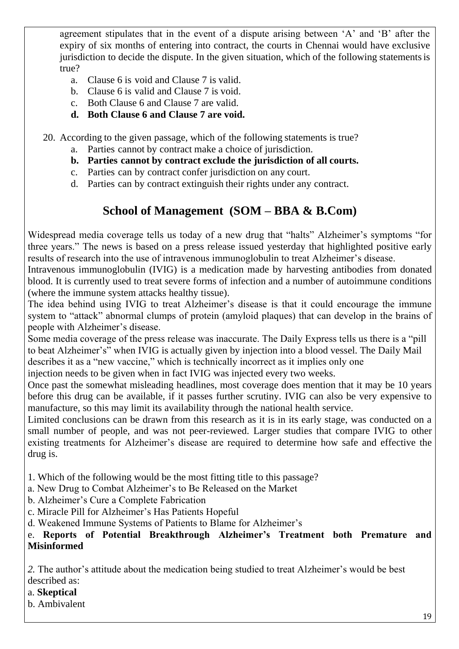agreement stipulates that in the event of a dispute arising between 'A' and 'B' after the expiry of six months of entering into contract, the courts in Chennai would have exclusive jurisdiction to decide the dispute. In the given situation, which of the following statementsis true?

- a. Clause 6 is void and Clause 7 is valid.
- b. Clause 6 is valid and Clause 7 is void.
- c. Both Clause 6 and Clause 7 are valid.
- **d. Both Clause 6 and Clause 7 are void.**

20. According to the given passage, which of the following statements is true?

- a. Parties cannot by contract make a choice of jurisdiction.
- **b. Parties cannot by contract exclude the jurisdiction of all courts.**
- c. Parties can by contract confer jurisdiction on any court.
- d. Parties can by contract extinguish their rights under any contract.

# **School of Management (SOM – BBA & B.Com)**

Widespread media coverage tells us today of a new drug that "halts" Alzheimer's symptoms "for three years." The news is based on a press release issued yesterday that highlighted positive early results of research into the use of intravenous immunoglobulin to treat Alzheimer's disease.

Intravenous immunoglobulin (IVIG) is a medication made by harvesting antibodies from donated blood. It is currently used to treat severe forms of infection and a number of autoimmune conditions (where the immune system attacks healthy tissue).

The idea behind using IVIG to treat Alzheimer's disease is that it could encourage the immune system to "attack" abnormal clumps of protein (amyloid plaques) that can develop in the brains of people with Alzheimer's disease.

Some media coverage of the press release was inaccurate. The Daily Express tells us there is a "pill to beat Alzheimer's" when IVIG is actually given by injection into a blood vessel. The Daily Mail describes it as a "new vaccine," which is technically incorrect as it implies only one

injection needs to be given when in fact IVIG was injected every two weeks.

Once past the somewhat misleading headlines, most coverage does mention that it may be 10 years before this drug can be available, if it passes further scrutiny. IVIG can also be very expensive to manufacture, so this may limit its availability through the national health service.

Limited conclusions can be drawn from this research as it is in its early stage, was conducted on a small number of people, and was not peer-reviewed. Larger studies that compare IVIG to other existing treatments for Alzheimer's disease are required to determine how safe and effective the drug is.

1. Which of the following would be the most fitting title to this passage?

a. New Drug to Combat Alzheimer's to Be Released on the Market

- b. Alzheimer's Cure a Complete Fabrication
- c. Miracle Pill for Alzheimer's Has Patients Hopeful

d. Weakened Immune Systems of Patients to Blame for Alzheimer's

#### e. **Reports of Potential Breakthrough Alzheimer's Treatment both Premature and Misinformed**

*2.* The author's attitude about the medication being studied to treat Alzheimer's would be best described as:

#### a. **Skeptical**

b. Ambivalent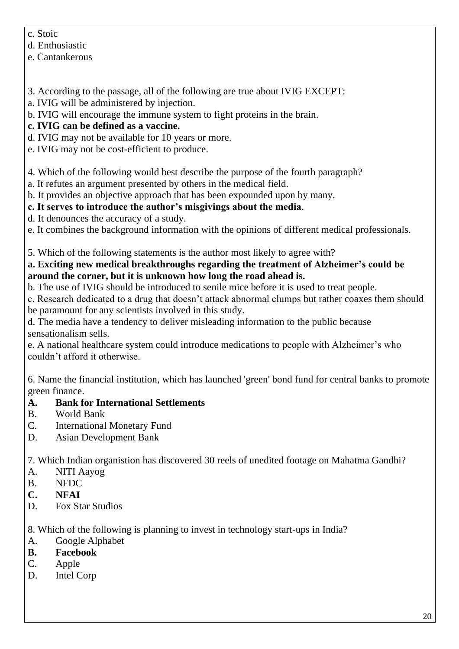- c. Stoic
- d. Enthusiastic
- e. Cantankerous
- 3. According to the passage, all of the following are true about IVIG EXCEPT:
- a. IVIG will be administered by injection.
- b. IVIG will encourage the immune system to fight proteins in the brain.
- **c. IVIG can be defined as a vaccine.**
- d. IVIG may not be available for 10 years or more.
- e. IVIG may not be cost-efficient to produce.
- 4. Which of the following would best describe the purpose of the fourth paragraph?
- a. It refutes an argument presented by others in the medical field.
- b. It provides an objective approach that has been expounded upon by many.
- **c. It serves to introduce the author's misgivings about the media**.
- d. It denounces the accuracy of a study.
- e. It combines the background information with the opinions of different medical professionals.
- 5. Which of the following statements is the author most likely to agree with?

## **a. Exciting new medical breakthroughs regarding the treatment of Alzheimer's could be around the corner, but it is unknown how long the road ahead is.**

- b. The use of IVIG should be introduced to senile mice before it is used to treat people.
- c. Research dedicated to a drug that doesn't attack abnormal clumps but rather coaxes them should be paramount for any scientists involved in this study.
- d. The media have a tendency to deliver misleading information to the public because sensationalism sells.
- e. A national healthcare system could introduce medications to people with Alzheimer's who couldn't afford it otherwise.
- 6. Name the financial institution, which has launched 'green' bond fund for central banks to promote green finance.
- **A. Bank for International Settlements**
- B. World Bank
- C. International Monetary Fund
- D. Asian Development Bank

7. Which Indian organistion has discovered 30 reels of unedited footage on Mahatma Gandhi?

- A. NITI Aayog
- B. NFDC
- **C. NFAI**
- D. Fox Star Studios

8. Which of the following is planning to invest in technology start-ups in India?

- A. Google Alphabet
- **B. Facebook**
- C. Apple
- D. Intel Corp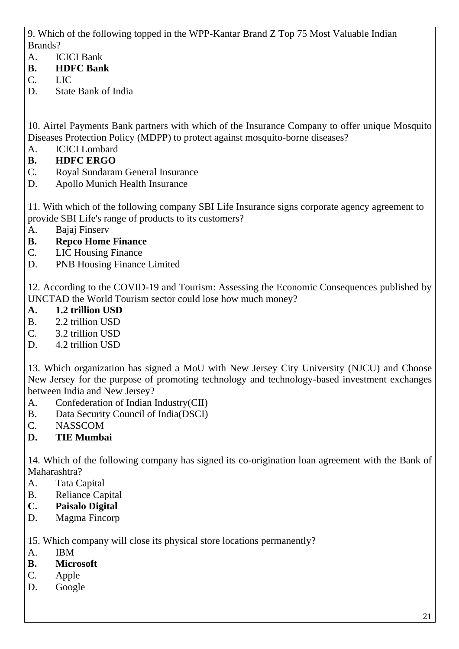9. Which of the following topped in the WPP-Kantar Brand Z Top 75 Most Valuable Indian Brands?

- A. ICICI Bank
- **B. HDFC Bank**
- C. LIC
- D. State Bank of India

10. Airtel Payments Bank partners with which of the Insurance Company to offer unique Mosquito Diseases Protection Policy (MDPP) to protect against mosquito-borne diseases?

- A. ICICI Lombard
- **B. HDFC ERGO**
- C. Royal Sundaram General Insurance
- D. Apollo Munich Health Insurance

11. With which of the following company SBI Life Insurance signs corporate agency agreement to provide SBI Life's range of products to its customers?

- A. Bajaj Finserv
- **B. Repco Home Finance**
- C. LIC Housing Finance
- D. PNB Housing Finance Limited

12. According to the COVID-19 and Tourism: Assessing the Economic Consequences published by UNCTAD the World Tourism sector could lose how much money?

- **A. 1.2 trillion USD**
- B. 2.2 trillion USD
- C. 3.2 trillion USD
- D. 4.2 trillion USD

13. Which organization has signed a MoU with New Jersey City University (NJCU) and Choose New Jersey for the purpose of promoting technology and technology-based investment exchanges between India and New Jersey?

- A. Confederation of Indian Industry(CII)
- B. Data Security Council of India(DSCI)
- C. NASSCOM
- **D. TIE Mumbai**

14. Which of the following company has signed its co-origination loan agreement with the Bank of Maharashtra?

- A. Tata Capital
- B. Reliance Capital
- **C. Paisalo Digital**
- D. Magma Fincorp

15. Which company will close its physical store locations permanently?

- A. IBM
- **B. Microsoft**
- C. Apple
- D. Google